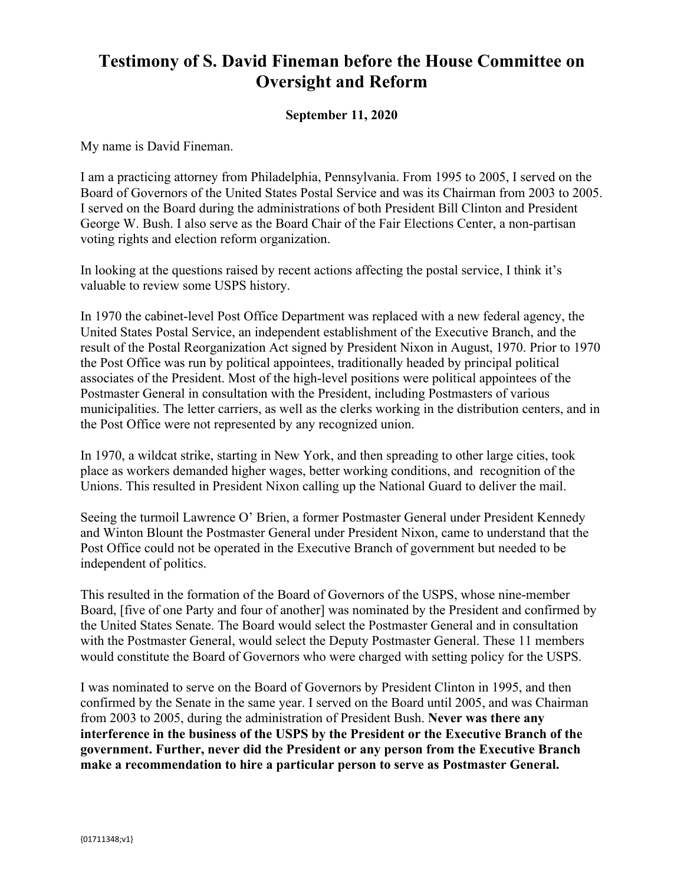## **Testimony of S. David Fineman before the House Committee on Oversight and Reform**

## **September 11, 2020**

My name is David Fineman.

I am a practicing attorney from Philadelphia, Pennsylvania. From 1995 to 2005, I served on the Board of Governors of the United States Postal Service and was its Chairman from 2003 to 2005. I served on the Board during the administrations of both President Bill Clinton and President George W. Bush. I also serve as the Board Chair of the Fair Elections Center, a non-partisan voting rights and election reform organization.

In looking at the questions raised by recent actions affecting the postal service, I think it's valuable to review some USPS history.

In 1970 the cabinet-level Post Office Department was replaced with a new federal agency, the United States Postal Service, an independent establishment of the Executive Branch, and the result of the Postal Reorganization Act signed by President Nixon in August, 1970. Prior to 1970 the Post Office was run by political appointees, traditionally headed by principal political associates of the President. Most of the high-level positions were political appointees of the Postmaster General in consultation with the President, including Postmasters of various municipalities. The letter carriers, as well as the clerks working in the distribution centers, and in the Post Office were not represented by any recognized union.

In 1970, a wildcat strike, starting in New York, and then spreading to other large cities, took place as workers demanded higher wages, better working conditions, and recognition of the Unions. This resulted in President Nixon calling up the National Guard to deliver the mail.

Seeing the turmoil Lawrence O' Brien, a former Postmaster General under President Kennedy and Winton Blount the Postmaster General under President Nixon, came to understand that the Post Office could not be operated in the Executive Branch of government but needed to be independent of politics.

This resulted in the formation of the Board of Governors of the USPS, whose nine-member Board, [five of one Party and four of another] was nominated by the President and confirmed by the United States Senate. The Board would select the Postmaster General and in consultation with the Postmaster General, would select the Deputy Postmaster General. These 11 members would constitute the Board of Governors who were charged with setting policy for the USPS.

I was nominated to serve on the Board of Governors by President Clinton in 1995, and then confirmed by the Senate in the same year. I served on the Board until 2005, and was Chairman from 2003 to 2005, during the administration of President Bush. **Never was there any interference in the business of the USPS by the President or the Executive Branch of the government. Further, never did the President or any person from the Executive Branch make a recommendation to hire a particular person to serve as Postmaster General.**